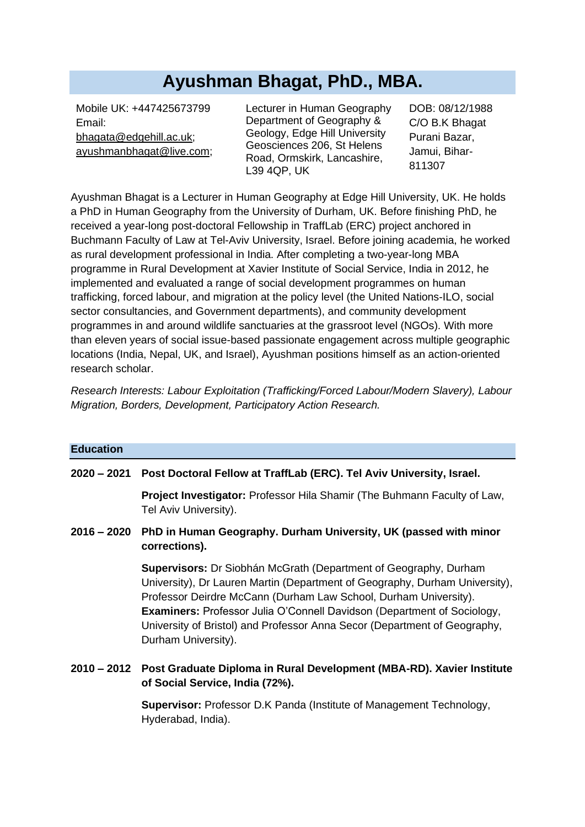# **Ayushman Bhagat, PhD., MBA.**

Mobile UK: +447425673799 Email: [bhagata@edgehill.ac.uk;](mailto:bhagata@edgehill.ac.uk) [ayushmanbhagat@live.com;](mailto:ayushmanbhagat@live.com) Lecturer in Human Geography Department of Geography & Geology, Edge Hill University Geosciences 206, St Helens Road, Ormskirk, Lancashire, L39 4QP, UK

DOB: 08/12/1988 C/O B.K Bhagat Purani Bazar, Jamui, Bihar-811307

Ayushman Bhagat is a Lecturer in Human Geography at Edge Hill University, UK. He holds a PhD in Human Geography from the University of Durham, UK. Before finishing PhD, he received a year-long post-doctoral Fellowship in TraffLab (ERC) project anchored in Buchmann Faculty of Law at Tel-Aviv University, Israel. Before joining academia, he worked as rural development professional in India. After completing a two-year-long MBA programme in Rural Development at Xavier Institute of Social Service, India in 2012, he implemented and evaluated a range of social development programmes on human trafficking, forced labour, and migration at the policy level (the United Nations-ILO, social sector consultancies, and Government departments), and community development programmes in and around wildlife sanctuaries at the grassroot level (NGOs). With more than eleven years of social issue-based passionate engagement across multiple geographic locations (India, Nepal, UK, and Israel), Ayushman positions himself as an action-oriented research scholar.

*Research Interests: Labour Exploitation (Trafficking/Forced Labour/Modern Slavery), Labour Migration, Borders, Development, Participatory Action Research.*

| <b>Education</b> |                                                                                                                                                                                                                                                                                                                                                                                                           |
|------------------|-----------------------------------------------------------------------------------------------------------------------------------------------------------------------------------------------------------------------------------------------------------------------------------------------------------------------------------------------------------------------------------------------------------|
|                  | 2020 – 2021 Post Doctoral Fellow at TraffLab (ERC). Tel Aviv University, Israel.                                                                                                                                                                                                                                                                                                                          |
|                  | <b>Project Investigator: Professor Hila Shamir (The Buhmann Faculty of Law,</b><br>Tel Aviv University).                                                                                                                                                                                                                                                                                                  |
|                  | 2016 – 2020 PhD in Human Geography. Durham University, UK (passed with minor<br>corrections).                                                                                                                                                                                                                                                                                                             |
|                  | Supervisors: Dr Siobhán McGrath (Department of Geography, Durham<br>University), Dr Lauren Martin (Department of Geography, Durham University),<br>Professor Deirdre McCann (Durham Law School, Durham University).<br><b>Examiners:</b> Professor Julia O'Connell Davidson (Department of Sociology,<br>University of Bristol) and Professor Anna Secor (Department of Geography,<br>Durham University). |
|                  | 2010 – 2012 Post Graduate Diploma in Rural Development (MBA-RD). Xavier Institute<br>of Social Service, India (72%).                                                                                                                                                                                                                                                                                      |
|                  | <b>Supervisor:</b> Professor D.K Panda (Institute of Management Technology,<br>Hyderabad, India).                                                                                                                                                                                                                                                                                                         |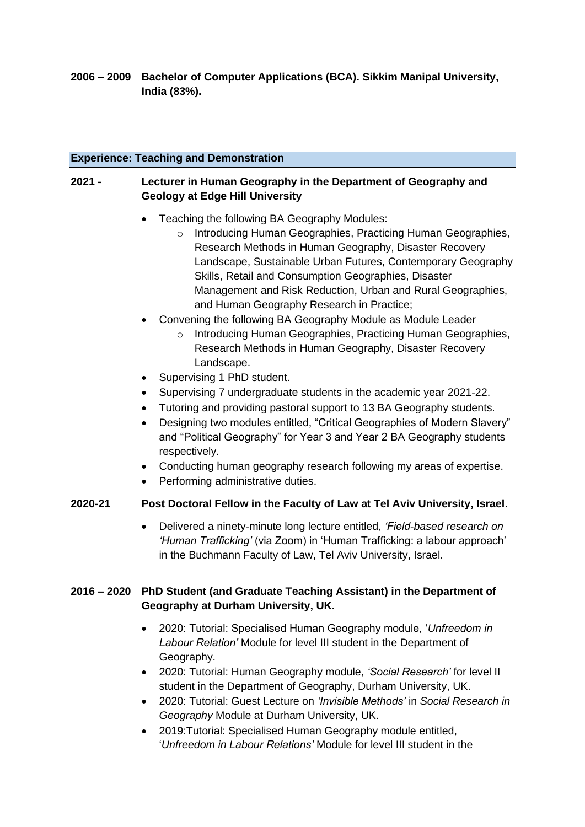**2006 – 2009 Bachelor of Computer Applications (BCA). Sikkim Manipal University, India (83%).**

## **Experience: Teaching and Demonstration**

# **2021 - Lecturer in Human Geography in the Department of Geography and Geology at Edge Hill University**

- Teaching the following BA Geography Modules:
	- o Introducing Human Geographies, Practicing Human Geographies, Research Methods in Human Geography, Disaster Recovery Landscape, Sustainable Urban Futures, Contemporary Geography Skills, Retail and Consumption Geographies, Disaster Management and Risk Reduction, Urban and Rural Geographies, and Human Geography Research in Practice;
- Convening the following BA Geography Module as Module Leader
	- o Introducing Human Geographies, Practicing Human Geographies, Research Methods in Human Geography, Disaster Recovery Landscape.
- Supervising 1 PhD student.
- Supervising 7 undergraduate students in the academic year 2021-22.
- Tutoring and providing pastoral support to 13 BA Geography students.
- Designing two modules entitled, "Critical Geographies of Modern Slavery" and "Political Geography" for Year 3 and Year 2 BA Geography students respectively.
- Conducting human geography research following my areas of expertise.
- Performing administrative duties.

# **2020-21 Post Doctoral Fellow in the Faculty of Law at Tel Aviv University, Israel.**

• Delivered a ninety-minute long lecture entitled, *'Field-based research on 'Human Trafficking'* (via Zoom) in 'Human Trafficking: a labour approach' in the Buchmann Faculty of Law, Tel Aviv University, Israel.

# **2016 – 2020 PhD Student (and Graduate Teaching Assistant) in the Department of Geography at Durham University, UK.**

- 2020: Tutorial: Specialised Human Geography module, '*Unfreedom in Labour Relation'* Module for level III student in the Department of Geography.
- 2020: Tutorial: Human Geography module, *'Social Research'* for level II student in the Department of Geography, Durham University, UK.
- 2020: Tutorial: Guest Lecture on *'Invisible Methods'* in *Social Research in Geography* Module at Durham University, UK.
- 2019:Tutorial: Specialised Human Geography module entitled, '*Unfreedom in Labour Relations'* Module for level III student in the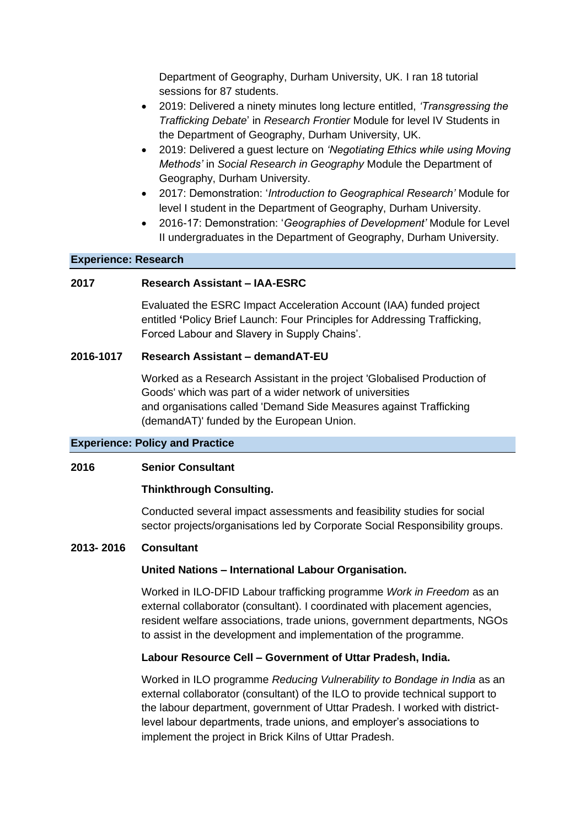Department of Geography, Durham University, UK. I ran 18 tutorial sessions for 87 students.

- 2019: Delivered a ninety minutes long lecture entitled, *'Transgressing the Trafficking Debate*' in *Research Frontier* Module for level IV Students in the Department of Geography, Durham University, UK.
- 2019: Delivered a guest lecture on *'Negotiating Ethics while using Moving Methods'* in *Social Research in Geography* Module the Department of Geography, Durham University.
- 2017: Demonstration: '*Introduction to Geographical Research'* Module for level I student in the Department of Geography, Durham University.
- 2016-17: Demonstration: '*Geographies of Development'* Module for Level II undergraduates in the Department of Geography, Durham University.

#### **Experience: Research**

#### **2017 Research Assistant – IAA-ESRC**

Evaluated the ESRC Impact Acceleration Account (IAA) funded project entitled **'**Policy Brief Launch: Four Principles for Addressing Trafficking, Forced Labour and Slavery in Supply Chains'.

#### **2016-1017 Research Assistant – demandAT-EU**

Worked as a Research Assistant in the project 'Globalised Production of Goods' which was part of a wider network of universities and organisations called ['Demand Side Measures against Trafficking](http://demandat.eu/)  [\(demandAT\)'](http://demandat.eu/) funded by the European Union.

#### **Experience: Policy and Practice**

## **2016 Senior Consultant**

## **Thinkthrough Consulting.**

Conducted several impact assessments and feasibility studies for social sector projects/organisations led by Corporate Social Responsibility groups.

## **2013- 2016 Consultant**

#### **United Nations – International Labour Organisation.**

Worked in ILO-DFID Labour trafficking programme *Work in Freedom* as an external collaborator (consultant). I coordinated with placement agencies, resident welfare associations, trade unions, government departments, NGOs to assist in the development and implementation of the programme.

## **Labour Resource Cell – Government of Uttar Pradesh, India.**

Worked in ILO programme *Reducing Vulnerability to Bondage in India* as an external collaborator (consultant) of the ILO to provide technical support to the labour department, government of Uttar Pradesh. I worked with districtlevel labour departments, trade unions, and employer's associations to implement the project in Brick Kilns of Uttar Pradesh.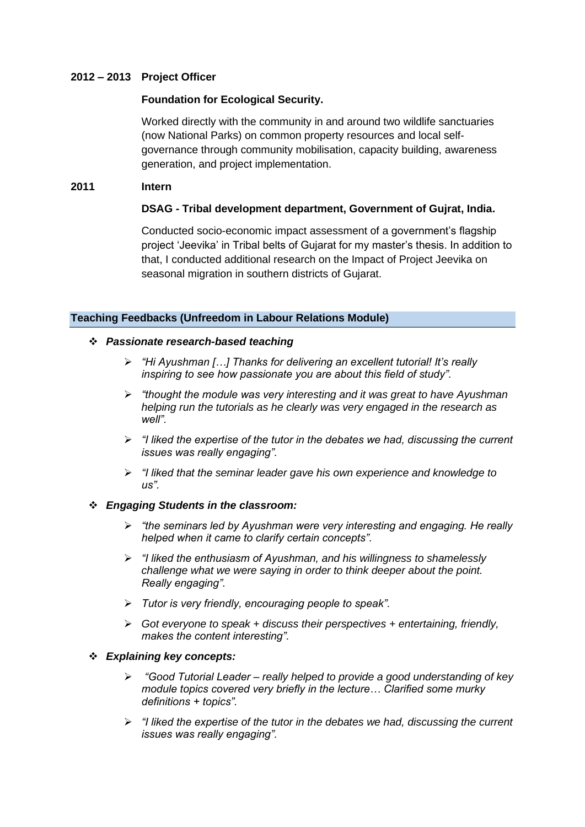## **2012 – 2013 Project Officer**

## **Foundation for Ecological Security.**

Worked directly with the community in and around two wildlife sanctuaries (now National Parks) on common property resources and local selfgovernance through community mobilisation, capacity building, awareness generation, and project implementation.

#### **2011 Intern**

## **DSAG - Tribal development department, Government of Gujrat, India.**

Conducted socio-economic impact assessment of a government's flagship project 'Jeevika' in Tribal belts of Gujarat for my master's thesis. In addition to that, I conducted additional research on the Impact of Project Jeevika on seasonal migration in southern districts of Gujarat.

## **Teaching Feedbacks (Unfreedom in Labour Relations Module)**

#### ❖ *Passionate research-based teaching*

- ➢ *"Hi Ayushman […] Thanks for delivering an excellent tutorial! It's really inspiring to see how passionate you are about this field of study".*
- ➢ *"thought the module was very interesting and it was great to have Ayushman helping run the tutorials as he clearly was very engaged in the research as well".*
- ➢ *"I liked the expertise of the tutor in the debates we had, discussing the current issues was really engaging".*
- ➢ *"I liked that the seminar leader gave his own experience and knowledge to us".*

## ❖ *Engaging Students in the classroom:*

- ➢ *"the seminars led by Ayushman were very interesting and engaging. He really helped when it came to clarify certain concepts".*
- ➢ *"I liked the enthusiasm of Ayushman, and his willingness to shamelessly challenge what we were saying in order to think deeper about the point. Really engaging".*
- ➢ *Tutor is very friendly, encouraging people to speak".*
- ➢ *Got everyone to speak + discuss their perspectives + entertaining, friendly, makes the content interesting".*

#### ❖ *Explaining key concepts:*

- ➢ *"Good Tutorial Leader – really helped to provide a good understanding of key module topics covered very briefly in the lecture… Clarified some murky definitions + topics".*
- ➢ *"I liked the expertise of the tutor in the debates we had, discussing the current issues was really engaging".*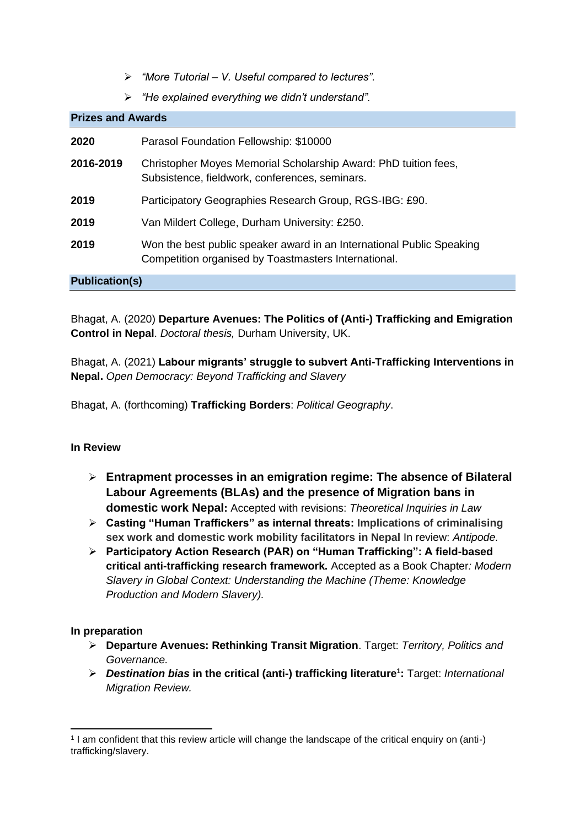- ➢ *"More Tutorial – V. Useful compared to lectures".*
- ➢ *"He explained everything we didn't understand".*

| <b>Prizes and Awards</b> |                                                                                                                               |  |
|--------------------------|-------------------------------------------------------------------------------------------------------------------------------|--|
| 2020                     | Parasol Foundation Fellowship: \$10000                                                                                        |  |
| 2016-2019                | Christopher Moyes Memorial Scholarship Award: PhD tuition fees,<br>Subsistence, fieldwork, conferences, seminars.             |  |
| 2019                     | Participatory Geographies Research Group, RGS-IBG: £90.                                                                       |  |
| 2019                     | Van Mildert College, Durham University: £250.                                                                                 |  |
| 2019                     | Won the best public speaker award in an International Public Speaking<br>Competition organised by Toastmasters International. |  |
| <b>Publication(s)</b>    |                                                                                                                               |  |

Bhagat, A. (2020) **Departure Avenues: The Politics of (Anti-) Trafficking and Emigration Control in Nepal**. *Doctoral thesis,* Durham University, UK.

Bhagat, A. (2021) **Labour migrants' struggle to subvert Anti-Trafficking Interventions in Nepal.** *Open Democracy: Beyond Trafficking and Slavery*

Bhagat, A. (forthcoming) **Trafficking Borders**: *Political Geography*.

# **In Review**

- ➢ **Entrapment processes in an emigration regime: The absence of Bilateral Labour Agreements (BLAs) and the presence of Migration bans in domestic work Nepal:** Accepted with revisions: *Theoretical Inquiries in Law*
- ➢ **Casting "Human Traffickers" as internal threats: Implications of criminalising sex work and domestic work mobility facilitators in Nepal** In review: *Antipode.*
- ➢ **Participatory Action Research (PAR) on "Human Trafficking": A field-based critical anti-trafficking research framework.** Accepted as a Book Chapter*: Modern Slavery in Global Context: Understanding the Machine (Theme: Knowledge Production and Modern Slavery).*

## **In preparation**

- ➢ **Departure Avenues: Rethinking Transit Migration**. Target: *Territory, Politics and Governance.*
- ➢ *Destination bias* **in the critical (anti-) trafficking literature<sup>1</sup> :** Target: *International Migration Review.*

<sup>1</sup> I am confident that this review article will change the landscape of the critical enquiry on (anti-) trafficking/slavery.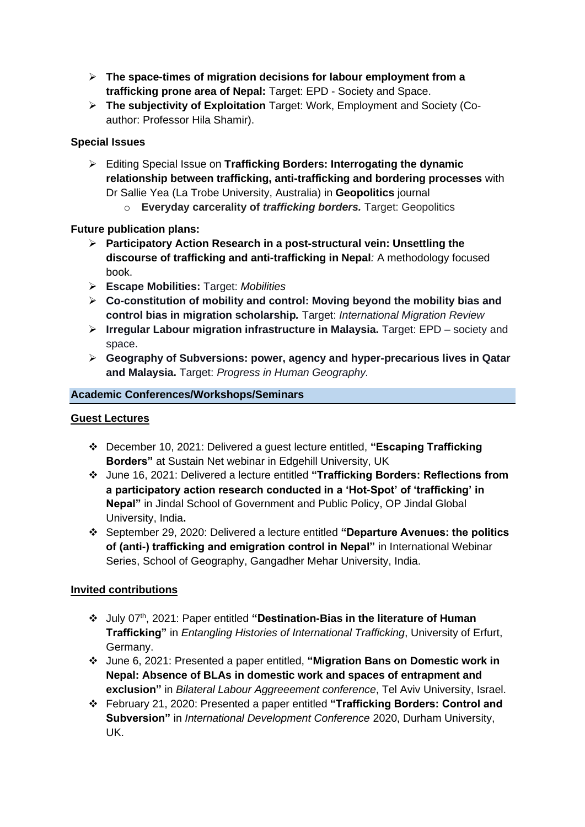- ➢ **The space-times of migration decisions for labour employment from a trafficking prone area of Nepal:** Target: EPD - Society and Space.
- ➢ **The subjectivity of Exploitation** Target: Work, Employment and Society (Coauthor: Professor Hila Shamir).

# **Special Issues**

- ➢ Editing Special Issue on **Trafficking Borders: Interrogating the dynamic relationship between trafficking, anti-trafficking and bordering processes** with Dr Sallie Yea (La Trobe University, Australia) in **Geopolitics** journal
	- o **Everyday carcerality of** *trafficking borders.* Target: Geopolitics

# **Future publication plans:**

- ➢ **Participatory Action Research in a post-structural vein: Unsettling the discourse of trafficking and anti-trafficking in Nepal***:* A methodology focused book.
- ➢ **Escape Mobilities:** Target: *Mobilities*
- ➢ **Co-constitution of mobility and control: Moving beyond the mobility bias and control bias in migration scholarship***.* Target: *International Migration Review*
- ➢ **Irregular Labour migration infrastructure in Malaysia.** Target: EPD society and space.
- ➢ **Geography of Subversions: power, agency and hyper-precarious lives in Qatar and Malaysia.** Target: *Progress in Human Geography.*

## **Academic Conferences/Workshops/Seminars**

# **Guest Lectures**

- ❖ December 10, 2021: Delivered a guest lecture entitled, **"Escaping Trafficking Borders"** at Sustain Net webinar in Edgehill University, UK
- ❖ June 16, 2021: Delivered a lecture entitled **"Trafficking Borders: Reflections from a participatory action research conducted in a 'Hot-Spot' of 'trafficking' in Nepal"** in Jindal School of Government and Public Policy, OP Jindal Global University, India**.**
- ❖ September 29, 2020: Delivered a lecture entitled **"Departure Avenues: the politics of (anti-) trafficking and emigration control in Nepal"** in International Webinar Series, School of Geography, Gangadher Mehar University, India.

# **Invited contributions**

- ❖ July 07th, 2021: Paper entitled **"Destination-Bias in the literature of Human Trafficking"** in *Entangling Histories of International Trafficking*, University of Erfurt, Germany.
- ❖ June 6, 2021: Presented a paper entitled, **"Migration Bans on Domestic work in Nepal: Absence of BLAs in domestic work and spaces of entrapment and exclusion"** in *Bilateral Labour Aggreeement conference*, Tel Aviv University, Israel.
- ❖ February 21, 2020: Presented a paper entitled **"Trafficking Borders: Control and Subversion"** in *International Development Conference* 2020, Durham University, UK.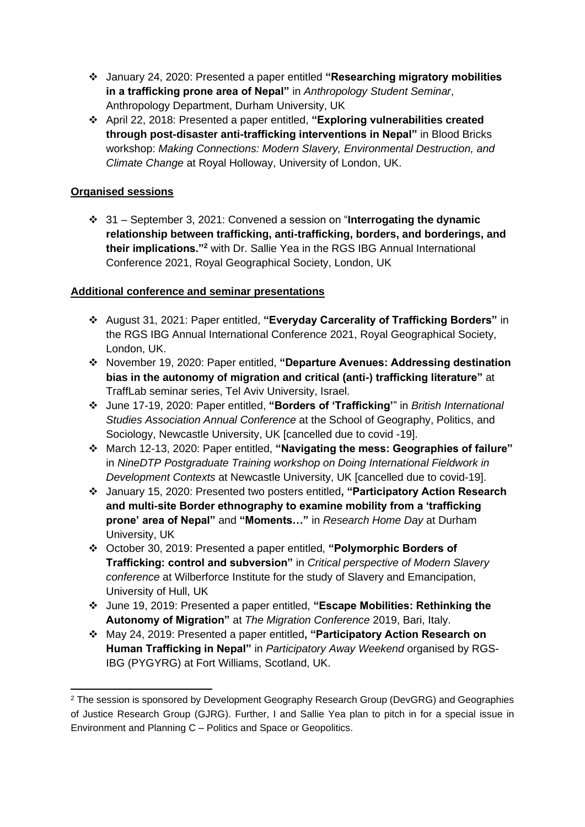- ❖ January 24, 2020: Presented a paper entitled **"Researching migratory mobilities in a trafficking prone area of Nepal"** in *Anthropology Student Seminar*, Anthropology Department, Durham University, UK
- ❖ April 22, 2018: Presented a paper entitled, **"Exploring vulnerabilities created through post-disaster anti-trafficking interventions in Nepal"** in Blood Bricks workshop: *Making Connections: Modern Slavery, Environmental Destruction, and Climate Change* at Royal Holloway, University of London, UK.

# **Organised sessions**

❖ 31 – September 3, 2021: Convened a session on "**Interrogating the dynamic relationship between trafficking, anti-trafficking, borders, and borderings, and their implications."<sup>2</sup>** with Dr. Sallie Yea in the RGS IBG Annual International Conference 2021, Royal Geographical Society, London, UK

# **Additional conference and seminar presentations**

- ❖ August 31, 2021: Paper entitled, **"Everyday Carcerality of Trafficking Borders"** in the RGS IBG Annual International Conference 2021, Royal Geographical Society, London, UK.
- ❖ November 19, 2020: Paper entitled, **"Departure Avenues: Addressing destination bias in the autonomy of migration and critical (anti-) trafficking literature"** at TraffLab seminar series, Tel Aviv University, Israel.
- ❖ June 17-19, 2020: Paper entitled, **"Borders of 'Trafficking'**" in *British International Studies Association Annual Conference* at the School of Geography, Politics, and Sociology, Newcastle University, UK [cancelled due to covid -19].
- ❖ March 12-13, 2020: Paper entitled, **"Navigating the mess: Geographies of failure"** in *NineDTP Postgraduate Training workshop on Doing International Fieldwork in Development Contexts* at Newcastle University, UK [cancelled due to covid-19].
- ❖ January 15, 2020: Presented two posters entitled**, "Participatory Action Research and multi-site Border ethnography to examine mobility from a 'trafficking prone' area of Nepal"** and **"Moments…"** in *Research Home Day* at Durham University, UK
- ❖ October 30, 2019: Presented a paper entitled, **"Polymorphic Borders of Trafficking: control and subversion"** in *Critical perspective of Modern Slavery conference* at Wilberforce Institute for the study of Slavery and Emancipation, University of Hull, UK
- ❖ June 19, 2019: Presented a paper entitled, **"Escape Mobilities: Rethinking the Autonomy of Migration"** at *The Migration Conference* 2019, Bari, Italy.
- ❖ May 24, 2019: Presented a paper entitled**, "Participatory Action Research on Human Trafficking in Nepal"** in *Participatory Away Weekend* organised by RGS-IBG (PYGYRG) at Fort Williams, Scotland, UK.

<sup>2</sup> The session is sponsored by Development Geography Research Group (DevGRG) and Geographies of Justice Research Group (GJRG). Further, I and Sallie Yea plan to pitch in for a special issue in Environment and Planning C – Politics and Space or Geopolitics.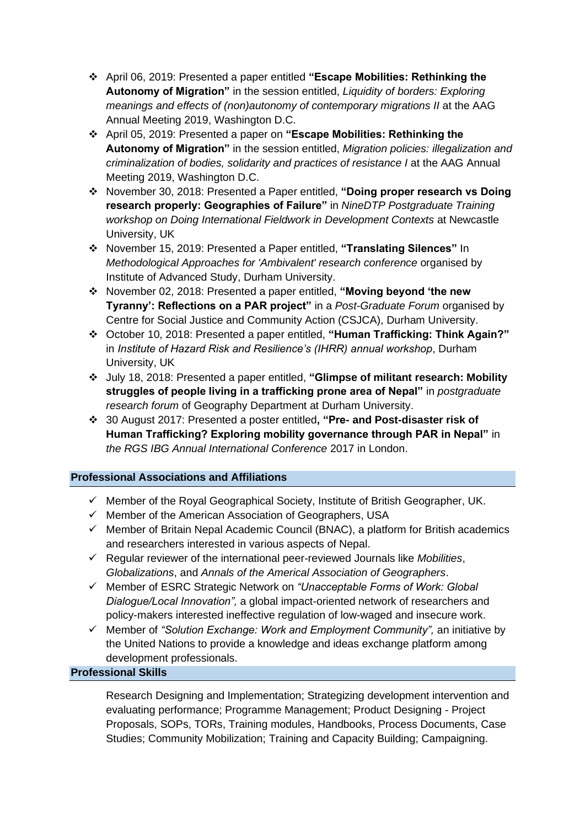- ❖ April 06, 2019: Presented a paper entitled **"Escape Mobilities: Rethinking the Autonomy of Migration"** in the session entitled, *Liquidity of borders: Exploring meanings and effects of (non)autonomy of contemporary migrations II* at the AAG Annual Meeting 2019, Washington D.C.
- ❖ April 05, 2019: Presented a paper on **"Escape Mobilities: Rethinking the Autonomy of Migration"** in the session entitled, *Migration policies: illegalization and criminalization of bodies, solidarity and practices of resistance I* at the AAG Annual Meeting 2019, Washington D.C.
- ❖ November 30, 2018: Presented a Paper entitled, **"Doing proper research vs Doing research properly: Geographies of Failure"** in *NineDTP Postgraduate Training workshop on Doing International Fieldwork in Development Contexts* at Newcastle University, UK
- ❖ November 15, 2019: Presented a Paper entitled, **"Translating Silences"** In *Methodological Approaches for 'Ambivalent' research conference* organised by Institute of Advanced Study, Durham University.
- ❖ November 02, 2018: Presented a paper entitled, **"Moving beyond 'the new Tyranny': Reflections on a PAR project"** in a *Post-Graduate Forum* organised by Centre for Social Justice and Community Action (CSJCA), Durham University.
- ❖ October 10, 2018: Presented a paper entitled, **"Human Trafficking: Think Again?"** in *Institute of Hazard Risk and Resilience's (IHRR) annual workshop*, Durham University, UK
- ❖ July 18, 2018: Presented a paper entitled, **"Glimpse of militant research: Mobility struggles of people living in a trafficking prone area of Nepal"** in *postgraduate research forum* of Geography Department at Durham University.
- ❖ 30 August 2017: Presented a poster entitled**, "Pre- and Post-disaster risk of Human Trafficking? Exploring mobility governance through PAR in Nepal"** in *the RGS IBG Annual International Conference* 2017 in London.

# **Professional Associations and Affiliations**

- $\checkmark$  Member of the Royal Geographical Society, Institute of British Geographer, UK.
- ✓ Member of the American Association of Geographers, USA
- $\checkmark$  Member of Britain Nepal Academic Council (BNAC), a platform for British academics and researchers interested in various aspects of Nepal.
- ✓ Regular reviewer of the international peer-reviewed Journals like *Mobilities*, *Globalizations*, and *Annals of the Americal Association of Geographers*.
- ✓ Member of ESRC Strategic Network on *"Unacceptable Forms of Work: Global Dialogue/Local Innovation",* a global impact-oriented network of researchers and policy-makers interested ineffective regulation of low-waged and insecure work.
- ✓ Member of *"Solution Exchange: Work and Employment Community",* an initiative by the United Nations to provide a knowledge and ideas exchange platform among development professionals.

## **Professional Skills**

Research Designing and Implementation; Strategizing development intervention and evaluating performance; Programme Management; Product Designing - Project Proposals, SOPs, TORs, Training modules, Handbooks, Process Documents, Case Studies; Community Mobilization; Training and Capacity Building; Campaigning.